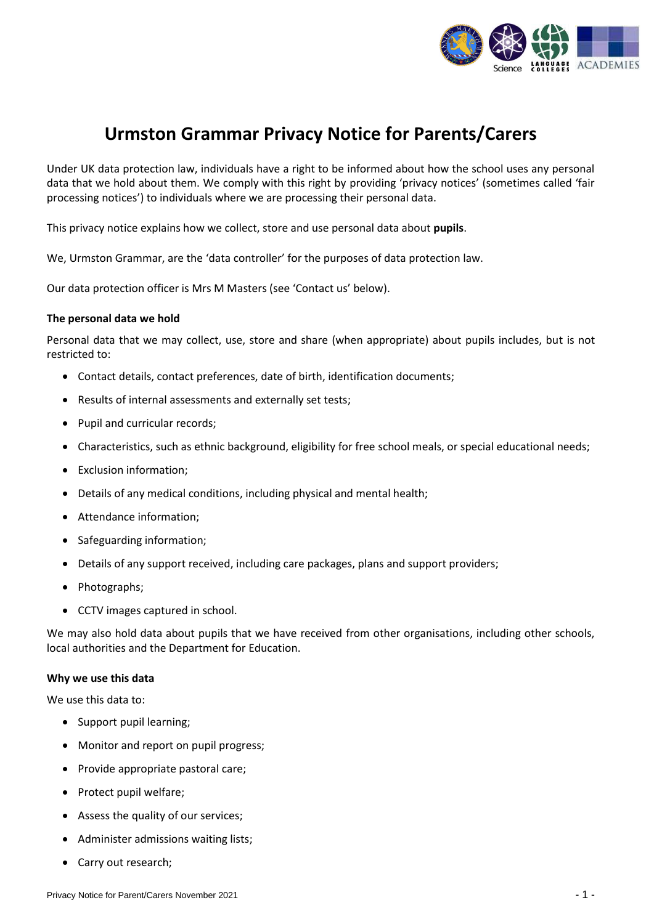

# **Urmston Grammar Privacy Notice for Parents/Carers**

Under UK data protection law, individuals have a right to be informed about how the school uses any personal data that we hold about them. We comply with this right by providing 'privacy notices' (sometimes called 'fair processing notices') to individuals where we are processing their personal data.

This privacy notice explains how we collect, store and use personal data about **pupils**.

We, Urmston Grammar, are the 'data controller' for the purposes of data protection law.

Our data protection officer is Mrs M Masters (see 'Contact us' below).

### **The personal data we hold**

Personal data that we may collect, use, store and share (when appropriate) about pupils includes, but is not restricted to:

- Contact details, contact preferences, date of birth, identification documents;
- Results of internal assessments and externally set tests;
- Pupil and curricular records;
- Characteristics, such as ethnic background, eligibility for free school meals, or special educational needs;
- Exclusion information;
- Details of any medical conditions, including physical and mental health;
- Attendance information;
- Safeguarding information;
- Details of any support received, including care packages, plans and support providers;
- Photographs;
- CCTV images captured in school.

We may also hold data about pupils that we have received from other organisations, including other schools, local authorities and the Department for Education.

### **Why we use this data**

We use this data to:

- Support pupil learning;
- Monitor and report on pupil progress;
- Provide appropriate pastoral care;
- Protect pupil welfare;
- Assess the quality of our services;
- Administer admissions waiting lists;
- Carry out research;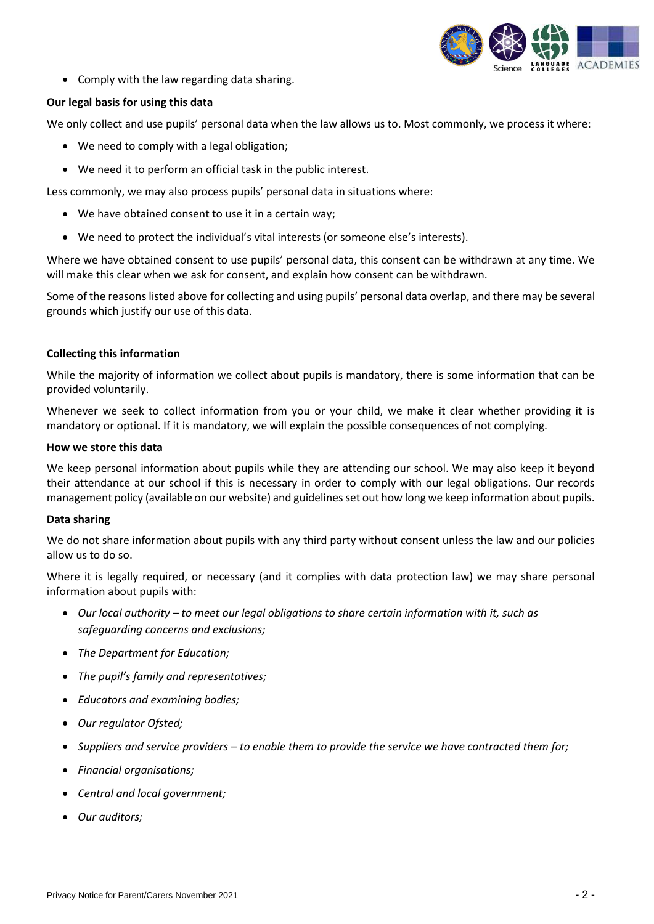

• Comply with the law regarding data sharing.

# **Our legal basis for using this data**

We only collect and use pupils' personal data when the law allows us to. Most commonly, we process it where:

- We need to comply with a legal obligation;
- We need it to perform an official task in the public interest.

Less commonly, we may also process pupils' personal data in situations where:

- We have obtained consent to use it in a certain way;
- We need to protect the individual's vital interests (or someone else's interests).

Where we have obtained consent to use pupils' personal data, this consent can be withdrawn at any time. We will make this clear when we ask for consent, and explain how consent can be withdrawn.

Some of the reasons listed above for collecting and using pupils' personal data overlap, and there may be several grounds which justify our use of this data.

# **Collecting this information**

While the majority of information we collect about pupils is mandatory, there is some information that can be provided voluntarily.

Whenever we seek to collect information from you or your child, we make it clear whether providing it is mandatory or optional. If it is mandatory, we will explain the possible consequences of not complying.

### **How we store this data**

We keep personal information about pupils while they are attending our school. We may also keep it beyond their attendance at our school if this is necessary in order to comply with our legal obligations. Our records management policy (available on our website) and guidelines set out how long we keep information about pupils.

# **Data sharing**

We do not share information about pupils with any third party without consent unless the law and our policies allow us to do so.

Where it is legally required, or necessary (and it complies with data protection law) we may share personal information about pupils with:

- *Our local authority – to meet our legal obligations to share certain information with it, such as safeguarding concerns and exclusions;*
- *The Department for Education;*
- *The pupil's family and representatives;*
- *Educators and examining bodies;*
- *Our regulator Ofsted;*
- *Suppliers and service providers – to enable them to provide the service we have contracted them for;*
- *Financial organisations;*
- *Central and local government;*
- *Our auditors;*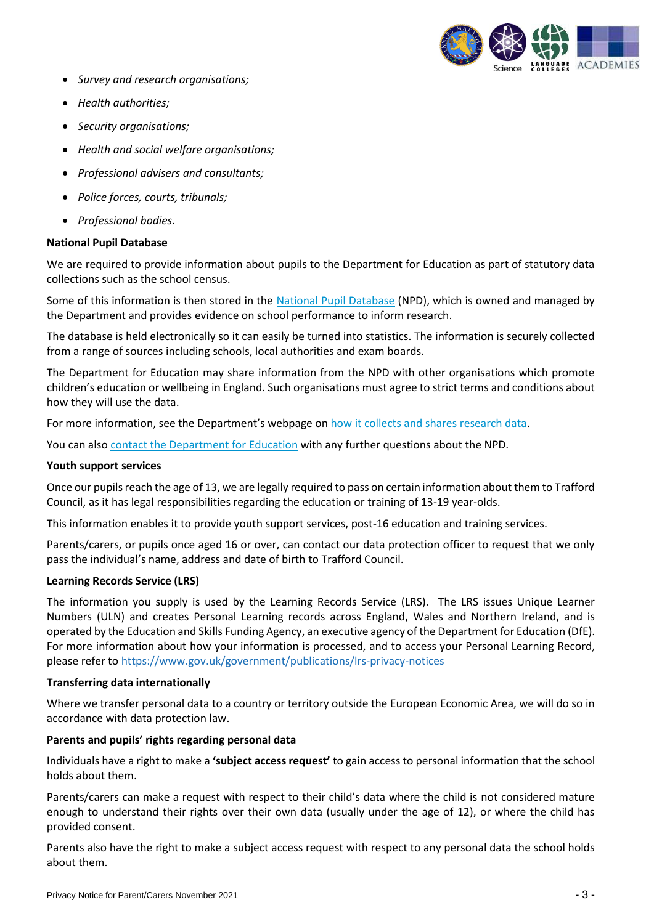

- *Survey and research organisations;*
- *Health authorities;*
- *Security organisations;*
- *Health and social welfare organisations;*
- *Professional advisers and consultants;*
- *Police forces, courts, tribunals;*
- *Professional bodies.*

# **National Pupil Database**

We are required to provide information about pupils to the Department for Education as part of statutory data collections such as the school census.

Some of this information is then stored in the [National Pupil Database](https://www.gov.uk/government/publications/national-pupil-database-user-guide-and-supporting-information) (NPD), which is owned and managed by the Department and provides evidence on school performance to inform research.

The database is held electronically so it can easily be turned into statistics. The information is securely collected from a range of sources including schools, local authorities and exam boards.

The Department for Education may share information from the NPD with other organisations which promote children's education or wellbeing in England. Such organisations must agree to strict terms and conditions about how they will use the data.

For more information, see the Department's webpage on [how it collects and shares research data.](https://www.gov.uk/data-protection-how-we-collect-and-share-research-data)

You can als[o contact the Department for Education](https://www.gov.uk/contact-dfe) with any further questions about the NPD.

## **Youth support services**

Once our pupils reach the age of 13, we are legally required to pass on certain information about them to Trafford Council, as it has legal responsibilities regarding the education or training of 13-19 year-olds.

This information enables it to provide youth support services, post-16 education and training services.

Parents/carers, or pupils once aged 16 or over, can contact our data protection officer to request that we only pass the individual's name, address and date of birth to Trafford Council.

# **Learning Records Service (LRS)**

The information you supply is used by the Learning Records Service (LRS). The LRS issues Unique Learner Numbers (ULN) and creates Personal Learning records across England, Wales and Northern Ireland, and is operated by the Education and Skills Funding Agency, an executive agency of the Department for Education (DfE). For more information about how your information is processed, and to access your Personal Learning Record, please refer to<https://www.gov.uk/government/publications/lrs-privacy-notices>

#### **Transferring data internationally**

Where we transfer personal data to a country or territory outside the European Economic Area, we will do so in accordance with data protection law.

# **Parents and pupils' rights regarding personal data**

Individuals have a right to make a **'subject access request'** to gain access to personal information that the school holds about them.

Parents/carers can make a request with respect to their child's data where the child is not considered mature enough to understand their rights over their own data (usually under the age of 12), or where the child has provided consent.

Parents also have the right to make a subject access request with respect to any personal data the school holds about them.